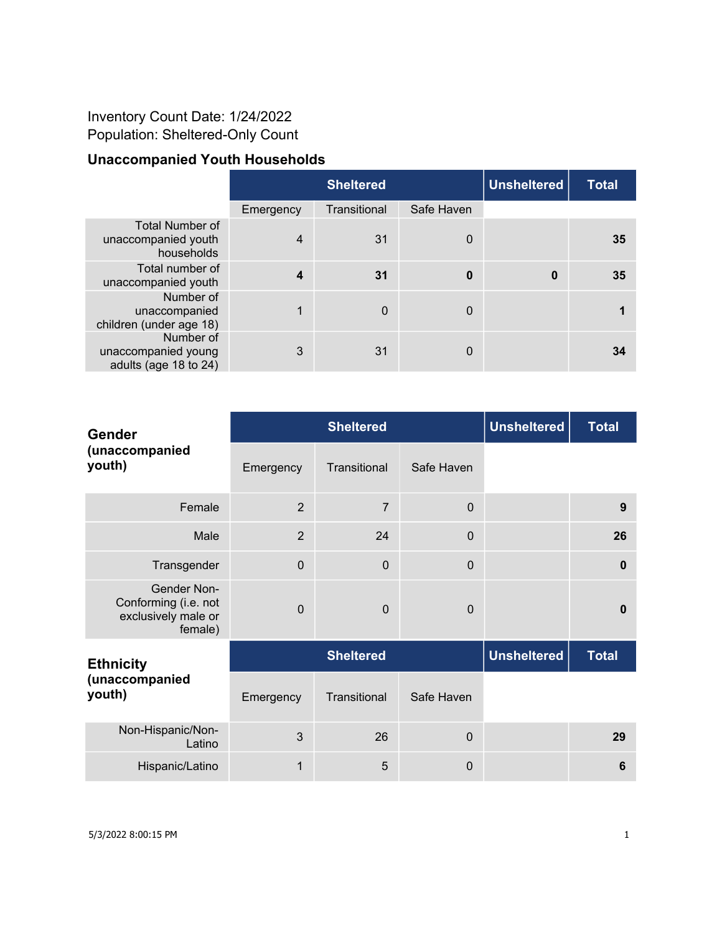## Inventory Count Date: 1/24/2022 Population: Sheltered-Only Count

## **Unaccompanied Youth Households**

|                                                             | <b>Sheltered</b> |              |             | <b>Unsheltered</b> | <b>Total</b> |
|-------------------------------------------------------------|------------------|--------------|-------------|--------------------|--------------|
|                                                             | Emergency        | Transitional | Safe Haven  |                    |              |
| <b>Total Number of</b><br>unaccompanied youth<br>households | $\overline{4}$   | 31           | $\mathbf 0$ |                    | 35           |
| Total number of<br>unaccompanied youth                      | $\boldsymbol{4}$ | 31           | 0           | 0                  | 35           |
| Number of<br>unaccompanied<br>children (under age 18)       |                  | $\mathbf 0$  | $\mathbf 0$ |                    |              |
| Number of<br>unaccompanied young<br>adults (age 18 to 24)   | 3                | 31           | $\mathbf 0$ |                    | 34           |

| <b>Gender</b><br>(unaccompanied<br>youth)                                    |                  | <b>Sheltered</b> | <b>Unsheltered</b> | <b>Total</b>       |              |
|------------------------------------------------------------------------------|------------------|------------------|--------------------|--------------------|--------------|
|                                                                              | Emergency        | Transitional     | Safe Haven         |                    |              |
| Female                                                                       | $\overline{2}$   | $\overline{7}$   | $\mathbf 0$        |                    | 9            |
| Male                                                                         | $\overline{2}$   | 24               | $\Omega$           |                    | 26           |
| Transgender                                                                  | $\mathbf 0$      | $\mathbf 0$      | $\mathbf 0$        |                    | $\bf{0}$     |
| <b>Gender Non-</b><br>Conforming (i.e. not<br>exclusively male or<br>female) | $\mathbf 0$      | $\mathbf 0$      | $\Omega$           |                    | $\bf{0}$     |
| <b>Ethnicity</b>                                                             | <b>Sheltered</b> |                  |                    | <b>Unsheltered</b> | <b>Total</b> |
| (unaccompanied<br>youth)                                                     | Emergency        | Transitional     | Safe Haven         |                    |              |
| Non-Hispanic/Non-<br>Latino                                                  | 3                | 26               | $\mathbf 0$        |                    | 29           |
| Hispanic/Latino                                                              | 1                | 5                | $\mathbf 0$        |                    | 6            |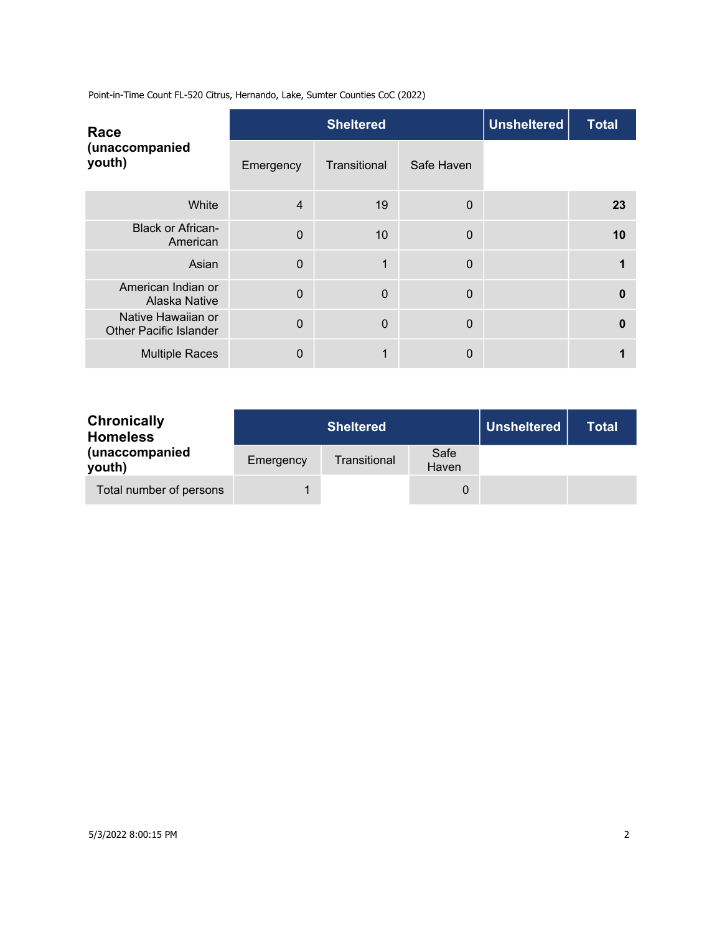Point-in-Time Count FL-520 Citrus, Hernando, Lake, Sumter Counties CoC (2022)

| Race<br>(unaccompanied<br>youth)                    |                | <b>Sheltered</b> | <b>Unsheltered</b> | <b>Total</b> |    |
|-----------------------------------------------------|----------------|------------------|--------------------|--------------|----|
|                                                     | Emergency      | Transitional     | Safe Haven         |              |    |
| White                                               | $\overline{4}$ | 19               | $\mathbf 0$        |              | 23 |
| <b>Black or African-</b><br>American                | $\Omega$       | 10               | $\mathbf 0$        |              | 10 |
| Asian                                               | $\overline{0}$ | 1                | 0                  |              |    |
| American Indian or<br>Alaska Native                 | $\overline{0}$ | $\Omega$         | 0                  |              | 0  |
| Native Hawaiian or<br><b>Other Pacific Islander</b> | $\Omega$       | $\mathbf 0$      | $\mathbf 0$        |              | 0  |
| <b>Multiple Races</b>                               | 0              | 1                | 0                  |              |    |

| <b>Chronically</b><br><b>Homeless</b> |           | <b>Sheltered</b> | <b>Unsheltered</b> | Total |  |
|---------------------------------------|-----------|------------------|--------------------|-------|--|
| (unaccompanied<br>youth)              | Emergency | Transitional     | Safe<br>Haven      |       |  |
| Total number of persons               |           |                  |                    |       |  |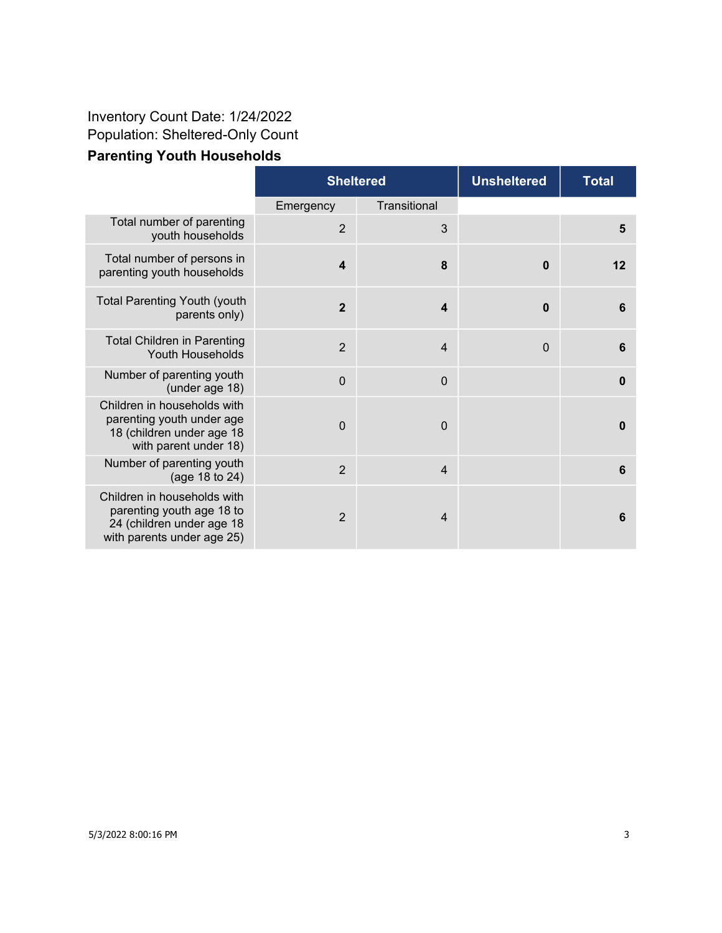## **Parenting Youth Households** Inventory Count Date: 1/24/2022 Population: Sheltered-Only Count

|                                                                                                                     | <b>Sheltered</b>        |                         | <b>Unsheltered</b> | <b>Total</b> |
|---------------------------------------------------------------------------------------------------------------------|-------------------------|-------------------------|--------------------|--------------|
|                                                                                                                     | Emergency               | Transitional            |                    |              |
| Total number of parenting<br>youth households                                                                       | 2                       | 3                       |                    | 5            |
| Total number of persons in<br>parenting youth households                                                            | $\overline{\mathbf{4}}$ | 8                       | $\boldsymbol{0}$   | 12           |
| <b>Total Parenting Youth (youth</b><br>parents only)                                                                | $\overline{2}$          | $\overline{\mathbf{4}}$ | $\boldsymbol{0}$   | 6            |
| <b>Total Children in Parenting</b><br>Youth Households                                                              | 2                       | $\overline{4}$          | $\mathbf 0$        | 6            |
| Number of parenting youth<br>(under age 18)                                                                         | $\mathbf 0$             | $\mathbf 0$             |                    | $\bf{0}$     |
| Children in households with<br>parenting youth under age<br>18 (children under age 18<br>with parent under 18)      | $\overline{0}$          | $\overline{0}$          |                    | $\bf{0}$     |
| Number of parenting youth<br>(age 18 to 24)                                                                         | 2                       | $\overline{4}$          |                    | 6            |
| Children in households with<br>parenting youth age 18 to<br>24 (children under age 18<br>with parents under age 25) | $\overline{2}$          | $\overline{4}$          |                    | 6            |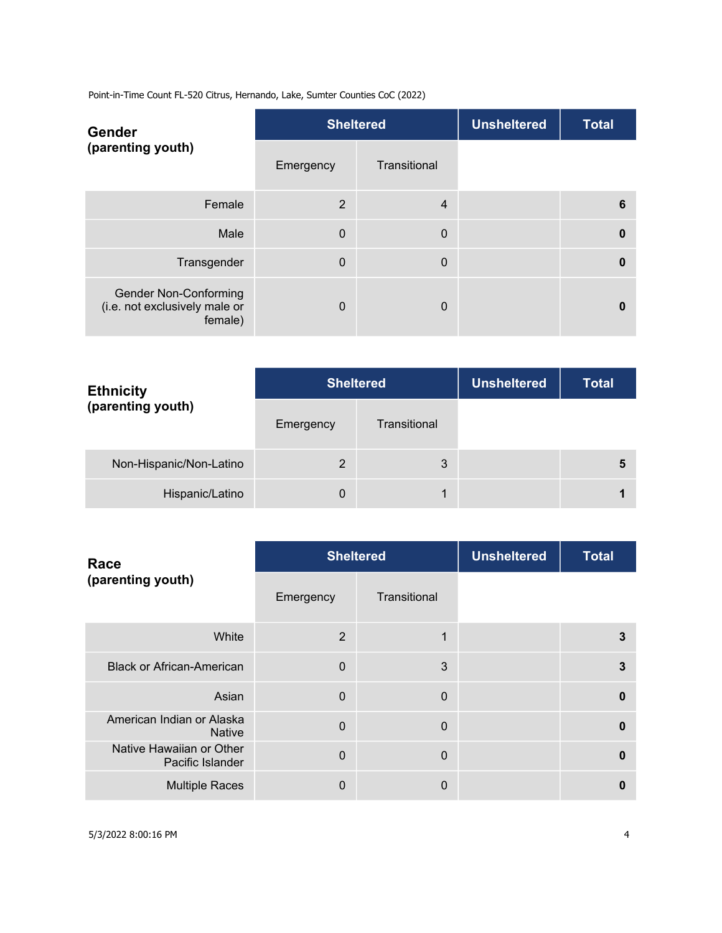Point-in-Time Count FL-520 Citrus, Hernando, Lake, Sumter Counties CoC (2022)

| <b>Gender</b><br>(parenting youth)                                       |             | <b>Sheltered</b> | <b>Unsheltered</b> | <b>Total</b> |
|--------------------------------------------------------------------------|-------------|------------------|--------------------|--------------|
|                                                                          | Emergency   | Transitional     |                    |              |
| Female                                                                   | 2           | $\overline{4}$   |                    | 6            |
| Male                                                                     | $\mathbf 0$ | $\mathbf 0$      |                    | $\bf{0}$     |
| Transgender                                                              | $\Omega$    | $\mathbf 0$      |                    | $\mathbf{0}$ |
| <b>Gender Non-Conforming</b><br>(i.e. not exclusively male or<br>female) | $\Omega$    | $\overline{0}$   |                    | 0            |

| <b>Ethnicity</b><br>(parenting youth) | <b>Sheltered</b> |              | <b>Unsheltered</b> | <b>Total</b> |
|---------------------------------------|------------------|--------------|--------------------|--------------|
|                                       | Emergency        | Transitional |                    |              |
| Non-Hispanic/Non-Latino               | $\overline{2}$   | 3            |                    | 5            |
| Hispanic/Latino                       | $\mathbf 0$      |              |                    |              |

| Race<br>(parenting youth)                    |                | <b>Sheltered</b> | <b>Unsheltered</b> | <b>Total</b> |
|----------------------------------------------|----------------|------------------|--------------------|--------------|
|                                              | Emergency      | Transitional     |                    |              |
| White                                        | 2              | 1                |                    | 3            |
| <b>Black or African-American</b>             | $\overline{0}$ | 3                |                    | 3            |
| Asian                                        | $\Omega$       | $\Omega$         |                    | $\mathbf{0}$ |
| American Indian or Alaska<br><b>Native</b>   | $\Omega$       | $\mathbf 0$      |                    | 0            |
| Native Hawaiian or Other<br>Pacific Islander | $\Omega$       | $\Omega$         |                    | $\mathbf{0}$ |
| <b>Multiple Races</b>                        | $\mathbf{0}$   | 0                |                    | 0            |